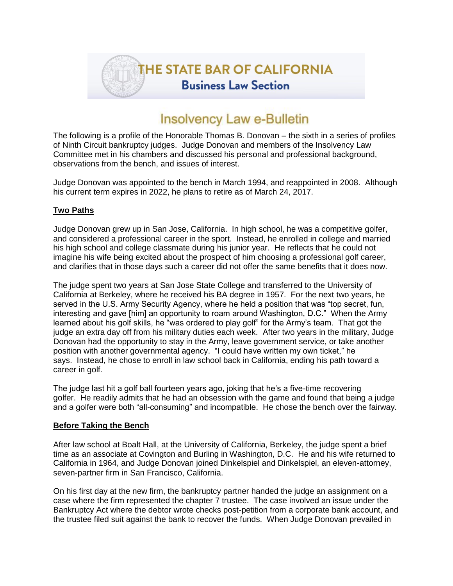

# Insolvency Law e-Bulletin

The following is a profile of the Honorable Thomas B. Donovan – the sixth in a series of profiles of Ninth Circuit bankruptcy judges. Judge Donovan and members of the Insolvency Law Committee met in his chambers and discussed his personal and professional background, observations from the bench, and issues of interest.

Judge Donovan was appointed to the bench in March 1994, and reappointed in 2008. Although his current term expires in 2022, he plans to retire as of March 24, 2017.

# **Two Paths**

Judge Donovan grew up in San Jose, California. In high school, he was a competitive golfer, and considered a professional career in the sport. Instead, he enrolled in college and married his high school and college classmate during his junior year. He reflects that he could not imagine his wife being excited about the prospect of him choosing a professional golf career, and clarifies that in those days such a career did not offer the same benefits that it does now.

The judge spent two years at San Jose State College and transferred to the University of California at Berkeley, where he received his BA degree in 1957. For the next two years, he served in the U.S. Army Security Agency, where he held a position that was "top secret, fun, interesting and gave [him] an opportunity to roam around Washington, D.C." When the Army learned about his golf skills, he "was ordered to play golf" for the Army's team. That got the judge an extra day off from his military duties each week. After two years in the military, Judge Donovan had the opportunity to stay in the Army, leave government service, or take another position with another governmental agency. "I could have written my own ticket," he says. Instead, he chose to enroll in law school back in California, ending his path toward a career in golf.

The judge last hit a golf ball fourteen years ago, joking that he's a five-time recovering golfer. He readily admits that he had an obsession with the game and found that being a judge and a golfer were both "all-consuming" and incompatible. He chose the bench over the fairway.

# **Before Taking the Bench**

After law school at Boalt Hall, at the University of California, Berkeley, the judge spent a brief time as an associate at Covington and Burling in Washington, D.C. He and his wife returned to California in 1964, and Judge Donovan joined Dinkelspiel and Dinkelspiel, an eleven-attorney, seven-partner firm in San Francisco, California.

On his first day at the new firm, the bankruptcy partner handed the judge an assignment on a case where the firm represented the chapter 7 trustee. The case involved an issue under the Bankruptcy Act where the debtor wrote checks post-petition from a corporate bank account, and the trustee filed suit against the bank to recover the funds. When Judge Donovan prevailed in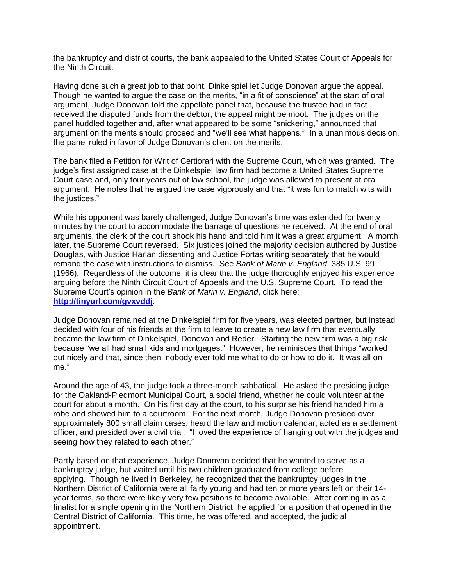the bankruptcy and district courts, the bank appealed to the United States Court of Appeals for the Ninth Circuit.

Having done such a great job to that point, Dinkelspiel let Judge Donovan argue the appeal. Though he wanted to argue the case on the merits, "in a fit of conscience" at the start of oral argument, Judge Donovan told the appellate panel that, because the trustee had in fact received the disputed funds from the debtor, the appeal might be moot. The judges on the panel huddled together and, after what appeared to be some "snickering," announced that argument on the merits should proceed and "we'll see what happens." In a unanimous decision, the panel ruled in favor of Judge Donovan's client on the merits.

The bank filed a Petition for Writ of Certiorari with the Supreme Court, which was granted. The judge's first assigned case at the Dinkelspiel law firm had become a United States Supreme Court case and, only four years out of law school, the judge was allowed to present at oral argument. He notes that he argued the case vigorously and that "it was fun to match wits with the justices."

While his opponent was barely challenged, Judge Donovan's time was extended for twenty minutes by the court to accommodate the barrage of questions he received. At the end of oral arguments, the clerk of the court shook his hand and told him it was a great argument. A month later, the Supreme Court reversed. Six justices joined the majority decision authored by Justice Douglas, with Justice Harlan dissenting and Justice Fortas writing separately that he would remand the case with instructions to dismiss. See *Bank of Marin v. England*, 385 U.S. 99 (1966). Regardless of the outcome, it is clear that the judge thoroughly enjoyed his experience arguing before the Ninth Circuit Court of Appeals and the U.S. Supreme Court. To read the Supreme Court's opinion in the *Bank of Marin v. England*, click here: **<http://tinyurl.com/gvxvddj>**.

Judge Donovan remained at the Dinkelspiel firm for five years, was elected partner, but instead decided with four of his friends at the firm to leave to create a new law firm that eventually became the law firm of Dinkelspiel, Donovan and Reder. Starting the new firm was a big risk because "we all had small kids and mortgages." However, he reminisces that things "worked out nicely and that, since then, nobody ever told me what to do or how to do it. It was all on me."

Around the age of 43, the judge took a three-month sabbatical. He asked the presiding judge for the Oakland-Piedmont Municipal Court, a social friend, whether he could volunteer at the court for about a month. On his first day at the court, to his surprise his friend handed him a robe and showed him to a courtroom. For the next month, Judge Donovan presided over approximately 800 small claim cases, heard the law and motion calendar, acted as a settlement officer, and presided over a civil trial. "I loved the experience of hanging out with the judges and seeing how they related to each other."

Partly based on that experience, Judge Donovan decided that he wanted to serve as a bankruptcy judge, but waited until his two children graduated from college before applying. Though he lived in Berkeley, he recognized that the bankruptcy judges in the Northern District of California were all fairly young and had ten or more years left on their 14 year terms, so there were likely very few positions to become available. After coming in as a finalist for a single opening in the Northern District, he applied for a position that opened in the Central District of California. This time, he was offered, and accepted, the judicial appointment.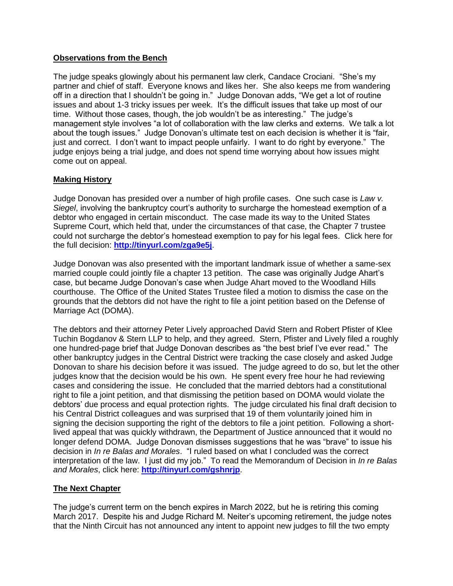### **Observations from the Bench**

The judge speaks glowingly about his permanent law clerk, Candace Crociani. "She's my partner and chief of staff. Everyone knows and likes her. She also keeps me from wandering off in a direction that I shouldn't be going in." Judge Donovan adds, "We get a lot of routine issues and about 1-3 tricky issues per week. It's the difficult issues that take up most of our time. Without those cases, though, the job wouldn't be as interesting." The judge's management style involves "a lot of collaboration with the law clerks and externs. We talk a lot about the tough issues." Judge Donovan's ultimate test on each decision is whether it is "fair, just and correct. I don't want to impact people unfairly. I want to do right by everyone." The judge enjoys being a trial judge, and does not spend time worrying about how issues might come out on appeal.

### **Making History**

Judge Donovan has presided over a number of high profile cases. One such case is *Law v. Siegel*, involving the bankruptcy court's authority to surcharge the homestead exemption of a debtor who engaged in certain misconduct. The case made its way to the United States Supreme Court, which held that, under the circumstances of that case, the Chapter 7 trustee could not surcharge the debtor's homestead exemption to pay for his legal fees. Click here for the full decision: **<http://tinyurl.com/zga9e5j>**.

Judge Donovan was also presented with the important landmark issue of whether a same-sex married couple could jointly file a chapter 13 petition. The case was originally Judge Ahart's case, but became Judge Donovan's case when Judge Ahart moved to the Woodland Hills courthouse. The Office of the United States Trustee filed a motion to dismiss the case on the grounds that the debtors did not have the right to file a joint petition based on the Defense of Marriage Act (DOMA).

The debtors and their attorney Peter Lively approached David Stern and Robert Pfister of Klee Tuchin Bogdanov & Stern LLP to help, and they agreed. Stern, Pfister and Lively filed a roughly one hundred-page brief that Judge Donovan describes as "the best brief I've ever read." The other bankruptcy judges in the Central District were tracking the case closely and asked Judge Donovan to share his decision before it was issued. The judge agreed to do so, but let the other judges know that the decision would be his own. He spent every free hour he had reviewing cases and considering the issue. He concluded that the married debtors had a constitutional right to file a joint petition, and that dismissing the petition based on DOMA would violate the debtors' due process and equal protection rights. The judge circulated his final draft decision to his Central District colleagues and was surprised that 19 of them voluntarily joined him in signing the decision supporting the right of the debtors to file a joint petition. Following a shortlived appeal that was quickly withdrawn, the Department of Justice announced that it would no longer defend DOMA. Judge Donovan dismisses suggestions that he was "brave" to issue his decision in *In re Balas and Morales*. "I ruled based on what I concluded was the correct interpretation of the law. I just did my job." To read the Memorandum of Decision in *In re Balas and Morales*, click here: **<http://tinyurl.com/gshnrjp>**.

# **The Next Chapter**

The judge's current term on the bench expires in March 2022, but he is retiring this coming March 2017. Despite his and Judge Richard M. Neiter's upcoming retirement, the judge notes that the Ninth Circuit has not announced any intent to appoint new judges to fill the two empty